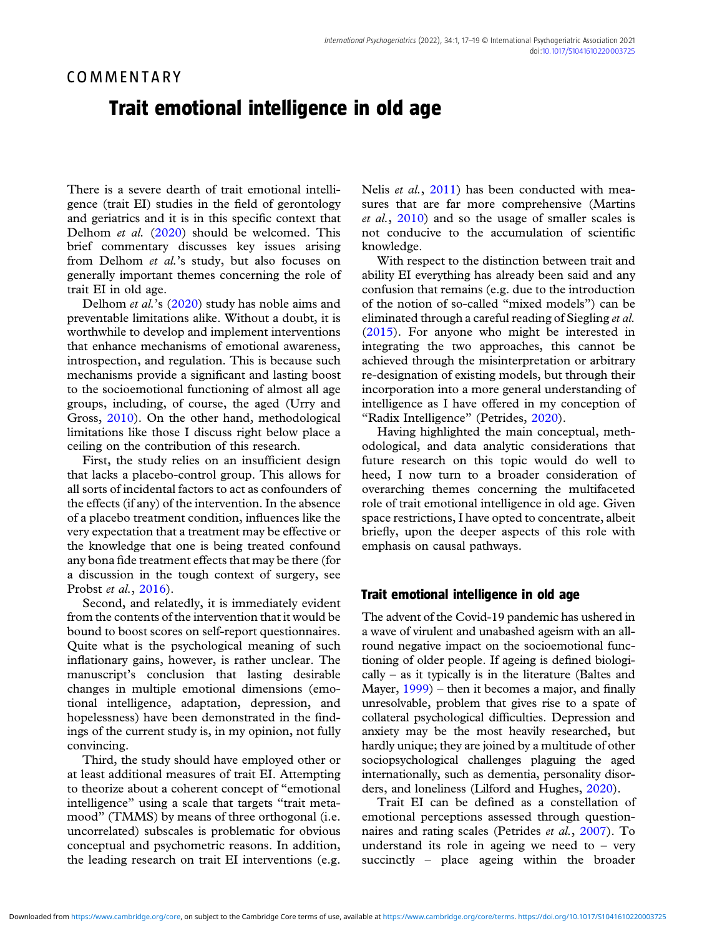## COMMENTARY

## Trait emotional intelligence in old age

There is a severe dearth of trait emotional intelligence (trait EI) studies in the field of gerontology and geriatrics and it is in this specific context that Delhom et al. [\(2020](#page-1-0)) should be welcomed. This brief commentary discusses key issues arising from Delhom et al.'s study, but also focuses on generally important themes concerning the role of trait EI in old age.

Delhom et al.'s [\(2020\)](#page-1-0) study has noble aims and preventable limitations alike. Without a doubt, it is worthwhile to develop and implement interventions that enhance mechanisms of emotional awareness, introspection, and regulation. This is because such mechanisms provide a significant and lasting boost to the socioemotional functioning of almost all age groups, including, of course, the aged (Urry and Gross, [2010](#page-2-0)). On the other hand, methodological limitations like those I discuss right below place a ceiling on the contribution of this research.

First, the study relies on an insufficient design that lacks a placebo-control group. This allows for all sorts of incidental factors to act as confounders of the effects (if any) of the intervention. In the absence of a placebo treatment condition, influences like the very expectation that a treatment may be effective or the knowledge that one is being treated confound any bona fide treatment effects that may be there (for a discussion in the tough context of surgery, see Probst et al., [2016\)](#page-2-0).

Second, and relatedly, it is immediately evident from the contents of the intervention that it would be bound to boost scores on self-report questionnaires. Quite what is the psychological meaning of such inflationary gains, however, is rather unclear. The manuscript's conclusion that lasting desirable changes in multiple emotional dimensions (emotional intelligence, adaptation, depression, and hopelessness) have been demonstrated in the findings of the current study is, in my opinion, not fully convincing.

Third, the study should have employed other or at least additional measures of trait EI. Attempting to theorize about a coherent concept of "emotional intelligence" using a scale that targets "trait metamood" (TMMS) by means of three orthogonal (i.e. uncorrelated) subscales is problematic for obvious conceptual and psychometric reasons. In addition, the leading research on trait EI interventions (e.g.

Nelis et al., [2011](#page-1-0)) has been conducted with measures that are far more comprehensive (Martins et al., [2010\)](#page-1-0) and so the usage of smaller scales is not conducive to the accumulation of scientific knowledge.

With respect to the distinction between trait and ability EI everything has already been said and any confusion that remains (e.g. due to the introduction of the notion of so-called "mixed models") can be eliminated through a careful reading of Siegling et al. ([2015\)](#page-2-0). For anyone who might be interested in integrating the two approaches, this cannot be achieved through the misinterpretation or arbitrary re-designation of existing models, but through their incorporation into a more general understanding of intelligence as I have offered in my conception of "Radix Intelligence" (Petrides, [2020](#page-2-0)).

Having highlighted the main conceptual, methodological, and data analytic considerations that future research on this topic would do well to heed, I now turn to a broader consideration of overarching themes concerning the multifaceted role of trait emotional intelligence in old age. Given space restrictions, I have opted to concentrate, albeit briefly, upon the deeper aspects of this role with emphasis on causal pathways.

## Trait emotional intelligence in old age

The advent of the Covid-19 pandemic has ushered in a wave of virulent and unabashed ageism with an allround negative impact on the socioemotional functioning of older people. If ageing is defined biologically – as it typically is in the literature (Baltes and Mayer, [1999\)](#page-1-0) – then it becomes a major, and finally unresolvable, problem that gives rise to a spate of collateral psychological difficulties. Depression and anxiety may be the most heavily researched, but hardly unique; they are joined by a multitude of other sociopsychological challenges plaguing the aged internationally, such as dementia, personality disorders, and loneliness (Lilford and Hughes, [2020\)](#page-1-0).

Trait EI can be defined as a constellation of emotional perceptions assessed through questionnaires and rating scales (Petrides et al., [2007\)](#page-2-0). To understand its role in ageing we need to  $-$  very succinctly – place ageing within the broader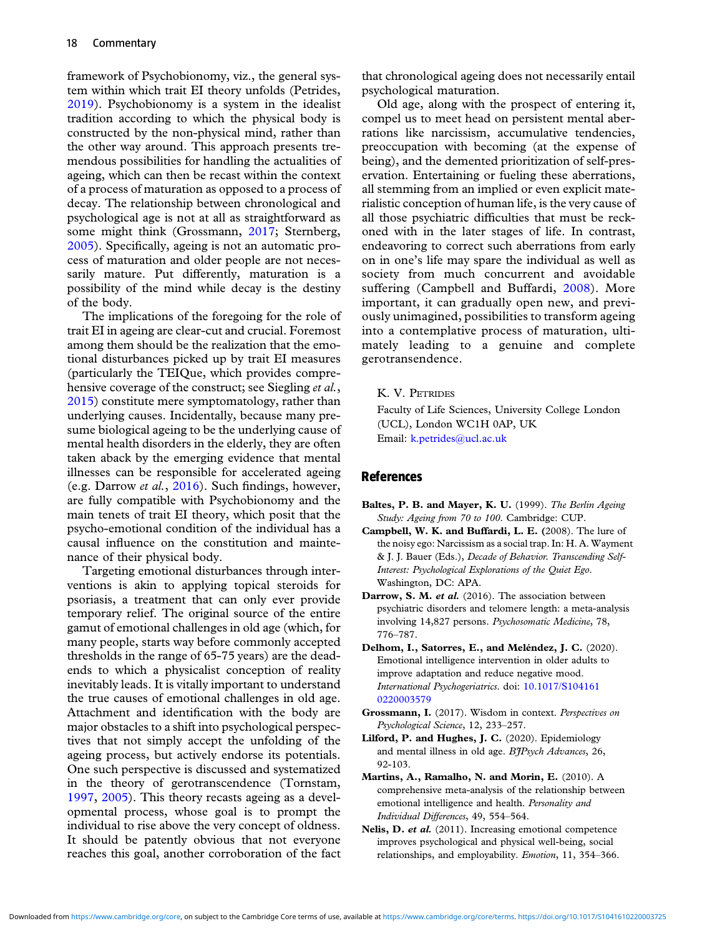<span id="page-1-0"></span>framework of Psychobionomy, viz., the general system within which trait EI theory unfolds (Petrides, [2019\)](#page-2-0). Psychobionomy is a system in the idealist tradition according to which the physical body is constructed by the non-physical mind, rather than the other way around. This approach presents tremendous possibilities for handling the actualities of ageing, which can then be recast within the context of a process of maturation as opposed to a process of decay. The relationship between chronological and psychological age is not at all as straightforward as some might think (Grossmann, 2017; Sternberg, [2005\)](#page-2-0). Specifically, ageing is not an automatic process of maturation and older people are not necessarily mature. Put differently, maturation is a possibility of the mind while decay is the destiny of the body.

The implications of the foregoing for the role of trait EI in ageing are clear-cut and crucial. Foremost among them should be the realization that the emotional disturbances picked up by trait EI measures (particularly the TEIQue, which provides comprehensive coverage of the construct; see Siegling et al., [2015\)](#page-2-0) constitute mere symptomatology, rather than underlying causes. Incidentally, because many presume biological ageing to be the underlying cause of mental health disorders in the elderly, they are often taken aback by the emerging evidence that mental illnesses can be responsible for accelerated ageing (e.g. Darrow et al., 2016). Such findings, however, are fully compatible with Psychobionomy and the main tenets of trait EI theory, which posit that the psycho-emotional condition of the individual has a causal influence on the constitution and maintenance of their physical body.

Targeting emotional disturbances through interventions is akin to applying topical steroids for psoriasis, a treatment that can only ever provide temporary relief. The original source of the entire gamut of emotional challenges in old age (which, for many people, starts way before commonly accepted thresholds in the range of 65-75 years) are the deadends to which a physicalist conception of reality inevitably leads. It is vitally important to understand the true causes of emotional challenges in old age. Attachment and identification with the body are major obstacles to a shift into psychological perspectives that not simply accept the unfolding of the ageing process, but actively endorse its potentials. One such perspective is discussed and systematized in the theory of gerotranscendence (Tornstam, [1997,](#page-2-0) [2005\)](#page-2-0). This theory recasts ageing as a developmental process, whose goal is to prompt the individual to rise above the very concept of oldness. It should be patently obvious that not everyone reaches this goal, another corroboration of the fact

that chronological ageing does not necessarily entail psychological maturation.

Old age, along with the prospect of entering it, compel us to meet head on persistent mental aberrations like narcissism, accumulative tendencies, preoccupation with becoming (at the expense of being), and the demented prioritization of self-preservation. Entertaining or fueling these aberrations, all stemming from an implied or even explicit materialistic conception of human life, is the very cause of all those psychiatric difficulties that must be reckoned with in the later stages of life. In contrast, endeavoring to correct such aberrations from early on in one's life may spare the individual as well as society from much concurrent and avoidable suffering (Campbell and Buffardi, 2008). More important, it can gradually open new, and previously unimagined, possibilities to transform ageing into a contemplative process of maturation, ultimately leading to a genuine and complete gerotransendence.

K. V. PETRIDES

Faculty of Life Sciences, University College London (UCL), London WC1H 0AP, UK Email: [k.petrides@ucl.ac.uk](mailto:k.petrides@ucl.ac.uk)

## References

- Baltes, P. B. and Mayer, K. U. (1999). The Berlin Ageing Study: Ageing from 70 to 100. Cambridge: CUP.
- Campbell, W. K. and Buffardi, L. E. (2008). The lure of the noisy ego: Narcissism as a social trap. In: H. A. Wayment & J. J. Bauer (Eds.), Decade of Behavior. Transcending Self-Interest: Psychological Explorations of the Quiet Ego. Washington, DC: APA.
- Darrow, S. M. et al. (2016). The association between psychiatric disorders and telomere length: a meta-analysis involving 14,827 persons. Psychosomatic Medicine, 78, 776–787.
- Delhom, I., Satorres, E., and Meléndez, J. C. (2020). Emotional intelligence intervention in older adults to improve adaptation and reduce negative mood. International Psychogeriatrics. doi: [10.1017/S104161](https://doi.org/10.1017/S1041610220003579) [0220003579](https://doi.org/10.1017/S1041610220003579)
- Grossmann, I. (2017). Wisdom in context. Perspectives on Psychological Science, 12, 233–257.
- Lilford, P. and Hughes, J. C. (2020). Epidemiology and mental illness in old age. BJPsych Advances, 26, 92-103.
- Martins, A., Ramalho, N. and Morin, E. (2010). A comprehensive meta-analysis of the relationship between emotional intelligence and health. Personality and Individual Differences, 49, 554–564.
- Nelis, D. et al. (2011). Increasing emotional competence improves psychological and physical well-being, social relationships, and employability. Emotion, 11, 354–366.